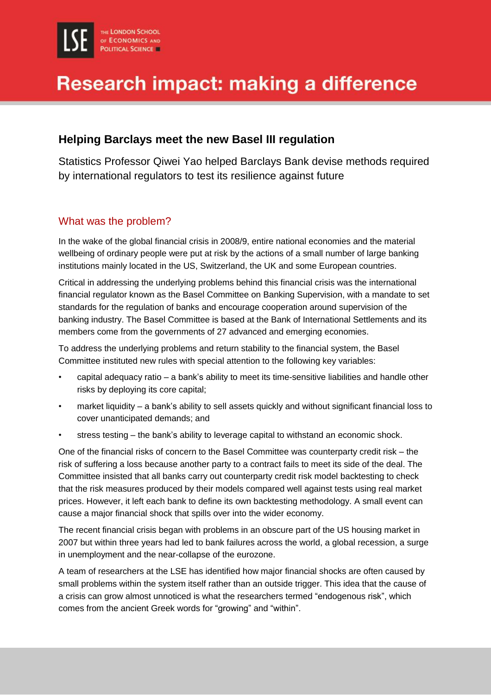# **Research impact: making a difference**

### **Helping Barclays meet the new Basel III regulation**

Statistics Professor Qiwei Yao helped Barclays Bank devise methods required by international regulators to test its resilience against future

#### What was the problem?

In the wake of the global financial crisis in 2008/9, entire national economies and the material wellbeing of ordinary people were put at risk by the actions of a small number of large banking institutions mainly located in the US, Switzerland, the UK and some European countries.

Critical in addressing the underlying problems behind this financial crisis was the international financial regulator known as the Basel Committee on Banking Supervision, with a mandate to set standards for the regulation of banks and encourage cooperation around supervision of the banking industry. The Basel Committee is based at the Bank of International Settlements and its members come from the governments of 27 advanced and emerging economies.

To address the underlying problems and return stability to the financial system, the Basel Committee instituted new rules with special attention to the following key variables:

- capital adequacy ratio a bank's ability to meet its time-sensitive liabilities and handle other risks by deploying its core capital;
- market liquidity a bank's ability to sell assets quickly and without significant financial loss to cover unanticipated demands; and
- stress testing the bank's ability to leverage capital to withstand an economic shock.

One of the financial risks of concern to the Basel Committee was counterparty credit risk – the risk of suffering a loss because another party to a contract fails to meet its side of the deal. The Committee insisted that all banks carry out counterparty credit risk model backtesting to check that the risk measures produced by their models compared well against tests using real market prices. However, it left each bank to define its own backtesting methodology. A small event can cause a major financial shock that spills over into the wider economy.

The recent financial crisis began with problems in an obscure part of the US housing market in 2007 but within three years had led to bank failures across the world, a global recession, a surge in unemployment and the near-collapse of the eurozone.

A team of researchers at the LSE has identified how major financial shocks are often caused by small problems within the system itself rather than an outside trigger. This idea that the cause of a crisis can grow almost unnoticed is what the researchers termed "endogenous risk", which comes from the ancient Greek words for "growing" and "within".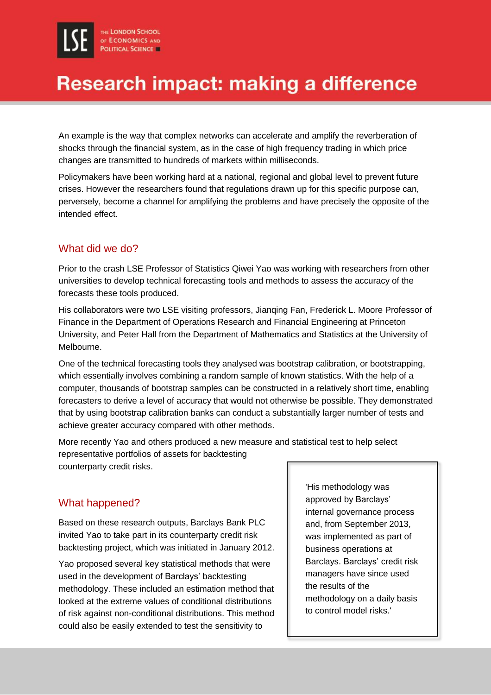# **Research impact: making a difference**

An example is the way that complex networks can accelerate and amplify the reverberation of shocks through the financial system, as in the case of high frequency trading in which price changes are transmitted to hundreds of markets within milliseconds.

Policymakers have been working hard at a national, regional and global level to prevent future crises. However the researchers found that regulations drawn up for this specific purpose can, perversely, become a channel for amplifying the problems and have precisely the opposite of the intended effect.

#### What did we do?

Prior to the crash LSE Professor of Statistics Qiwei Yao was working with researchers from other universities to develop technical forecasting tools and methods to assess the accuracy of the forecasts these tools produced.

His collaborators were two LSE visiting professors, Jianqing Fan, Frederick L. Moore Professor of Finance in the Department of Operations Research and Financial Engineering at Princeton University, and Peter Hall from the Department of Mathematics and Statistics at the University of Melbourne.

One of the technical forecasting tools they analysed was bootstrap calibration, or bootstrapping, which essentially involves combining a random sample of known statistics. With the help of a computer, thousands of bootstrap samples can be constructed in a relatively short time, enabling forecasters to derive a level of accuracy that would not otherwise be possible. They demonstrated that by using bootstrap calibration banks can conduct a substantially larger number of tests and achieve greater accuracy compared with other methods.

More recently Yao and others produced a new measure and statistical test to help select representative portfolios of assets for backtesting counterparty credit risks.

#### What happened?

Based on these research outputs, Barclays Bank PLC invited Yao to take part in its counterparty credit risk backtesting project, which was initiated in January 2012.

Yao proposed several key statistical methods that were used in the development of Barclays' backtesting methodology. These included an estimation method that looked at the extreme values of conditional distributions of risk against non-conditional distributions. This method could also be easily extended to test the sensitivity to

'His methodology was approved by Barclays' internal governance process and, from September 2013, was implemented as part of business operations at Barclays. Barclays' credit risk managers have since used the results of the methodology on a daily basis to control model risks.'